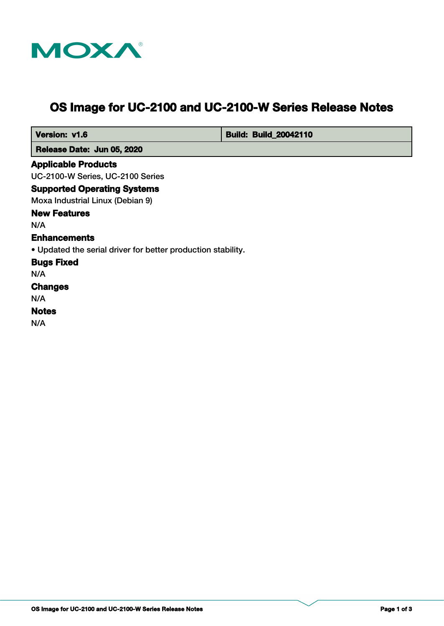

# **OS Image for UC-2100 and UC-2100-W Series Release Notes**

 **Version: v1.6 Build: Build: Build: 20042110** 

 **Release Date: Jun 05, 2020**

## **Applicable Products**

UC-2100-W Series, UC-2100 Series

#### **Supported Operating Systems**

Moxa Industrial Linux (Debian 9)

## **New Features**

N/A

## **Enhancements**

• Updated the serial driver for better production stability.

#### **Bugs Fixed**

N/A

## **Changes**

N/A

## **Notes**

N/A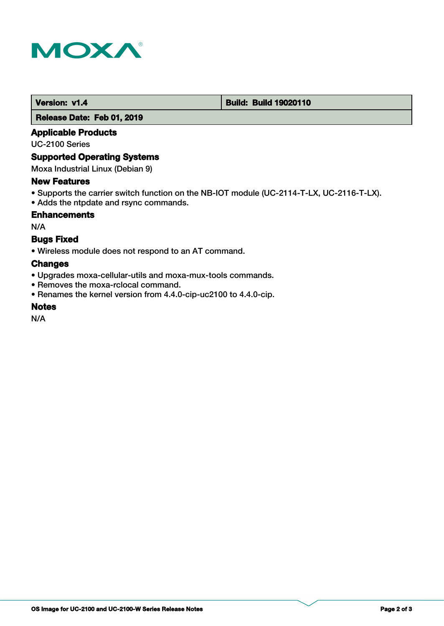

#### **Version: v1.4 1.4 Build: Build: Build 19020110**

 **Release Date: Feb 01, 2019**

## **Applicable Products**

UC-2100 Series

## **Supported Operating Systems**

Moxa Industrial Linux (Debian 9)

#### **New Features**

- Supports the carrier switch function on the NB-IOT module (UC-2114-T-LX, UC-2116-T-LX).
- Adds the ntpdate and rsync commands.

## **Enhancements**

N/A

## **Bugs Fixed**

• Wireless module does not respond to an AT command.

## **Changes**

- Upgrades moxa-cellular-utils and moxa-mux-tools commands.
- Removes the moxa-rclocal command.
- Renames the kernel version from 4.4.0-cip-uc2100 to 4.4.0-cip.

#### **Notes**

N/A